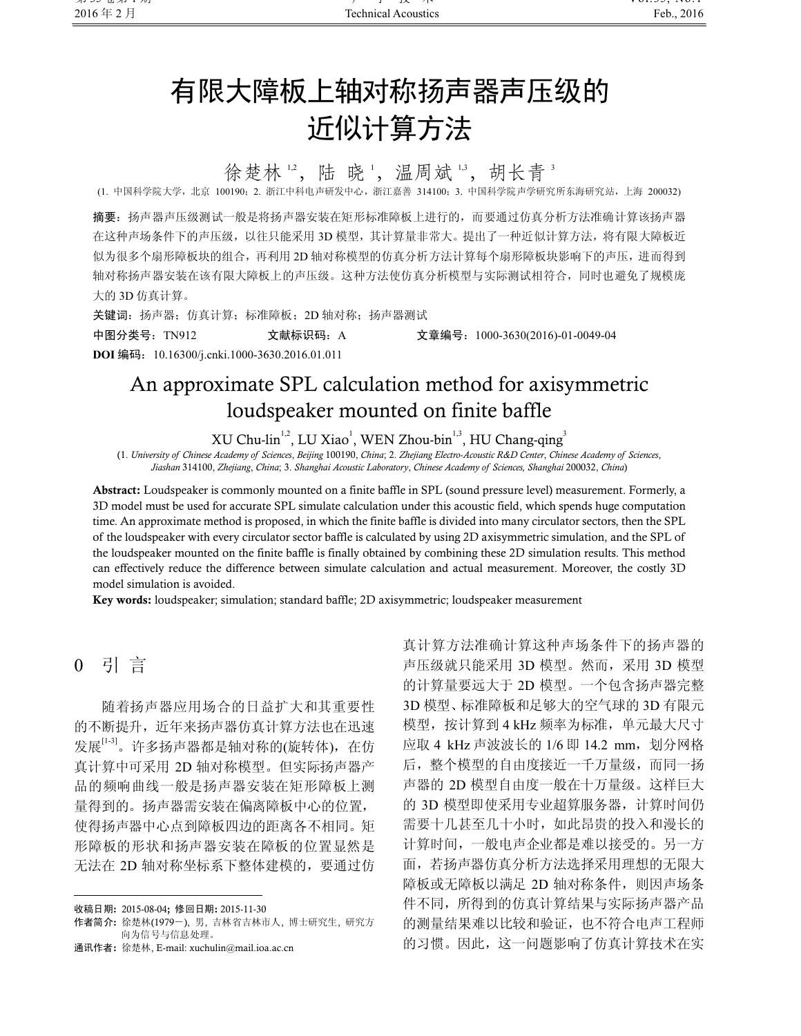# 有限大障板上轴对称扬声器声压级的 近似计算方法

徐楚林12,陆晓1,温周斌13,胡长青3

(1. 中国科学院大学,北京 100190;2. 浙江中科电声研发中心,浙江嘉善 314100;3. 中国科学院声学研究所东海研究站,上海 200032)

摘要:扬声器声压级测试一般是将扬声器安装在矩形标准障板上进行的,而要通过仿真分析方法准确计算该扬声器 在这种声场条件下的声压级,以往只能采用 3D 模型,其计算量非常大。提出了一种近似计算方法,将有限大障板近 似为很多个扇形障板块的组合,再利用 2D 轴对称模型的仿真分析方法计算每个扇形障板块影响下的声压,进而得到 轴对称扬声器安装在该有限大障板上的声压级。这种方法使仿真分析模型与实际测试相符合,同时也避免了规模庞 大的 3D 仿真计算。

关键词: 扬声器;仿真计算;标准障板; 2D 轴对称; 扬声器测试 中图分类号:TN912 文献标识码:A 文章编号:1000-3630(2016)-01-0049-04 DOI 编码:10.16300/j.cnki.1000-3630.2016.01.011

# An approximate SPL calculation method for axisymmetric loudspeaker mounted on finite baffle

XU Chu-lin<sup>1,2</sup>, LU Xiao<sup>1</sup>, WEN Zhou-bin<sup>1,3</sup>, HU Chang-qing<sup>3</sup><br>Academy of Sciences. Beijing 100190. China: 2. Zheijang Electro-Acoustic R&D Center. Chin

(1. University of Chinese Academy of Sciences, Beijing 100190, China; 2. Zhejiang Electro-Acoustic R&D Center, Chinese Academy of Sciences, Jiashan 314100, Zhejiang, China; 3. Shanghai Acoustic Laboratory, Chinese Academy of Sciences, Shanghai 200032, China)

Abstract: Loudspeaker is commonly mounted on a finite baffle in SPL (sound pressure level) measurement. Formerly, a 3D model must be used for accurate SPL simulate calculation under this acoustic field, which spends huge computation time. An approximate method is proposed, in which the finite baffle is divided into many circulator sectors, then the SPL of the loudspeaker with every circulator sector baffle is calculated by using 2D axisymmetric simulation, and the SPL of the loudspeaker mounted on the finite baffle is finally obtained by combining these 2D simulation results. This method can effectively reduce the difference between simulate calculation and actual measurement. Moreover, the costly 3D model simulation is avoided.

Key words: loudspeaker; simulation; standard baffle; 2D axisymmetric; loudspeaker measurement

### 0 引 言

֦

随着扬声器应用场合的日益扩大和其重要性 的不断提升,近年来扬声器仿真计算方法也在迅速 发展<sup>[1-3]</sup>。许多扬声器都是轴对称的(旋转体), 在仿 真计算中可采用 2D 轴对称模型。但实际扬声器产 品的频响曲线一般是扬声器安装在矩形障板上测 量得到的。扬声器需安装在偏离障板中心的位置, 使得扬声器中心点到障板四边的距离各不相同。矩 形障板的形状和扬声器安装在障板的位置显然是 无法在 2D 轴对称坐标系下整体建模的,要通过仿 真计算方法准确计算这种声场条件下的扬声器的 声压级就只能采用 3D 模型。然而,采用 3D 模型 的计算量要远大于 2D 模型。一个包含扬声器完整 3D 模型、标准障板和足够大的空气球的 3D 有限元 模型, 按计算到 4 kHz 频率为标准, 单元最大尺寸 应取 4 kHz 声波波长的 1/6 即 14.2 mm, 划分网格 后,整个模型的自由度接近一千万量级,而同一扬 声器的 2D 模型自由度一般在十万量级。这样巨大 的 3D 模型即使采用专业超算服务器,计算时间仍 需要十几甚至几十小时,如此昂贵的投入和漫长的 计算时间,一般电声企业都是难以接受的。另一方 面,若扬声器仿真分析方法选择采用理想的无限大 障板或无障板以满足 2D 轴对称条件, 则因声场条 件不同,所得到的仿真计算结果与实际扬声器产品 的测量结果难以比较和验证,也不符合电声工程师 的习惯。因此,这一问题影响了仿真计算技术在实

收稿日期: 2015-08-04; 修回日期: 2015-11-30

作者简介: 徐楚林(1979-), 男, 吉林省吉林市人, 博士研究生, 研究方 向为信号与信息处理。

通讯作者: 徐楚林, E-mail: xuchulin@mail.ioa.ac.cn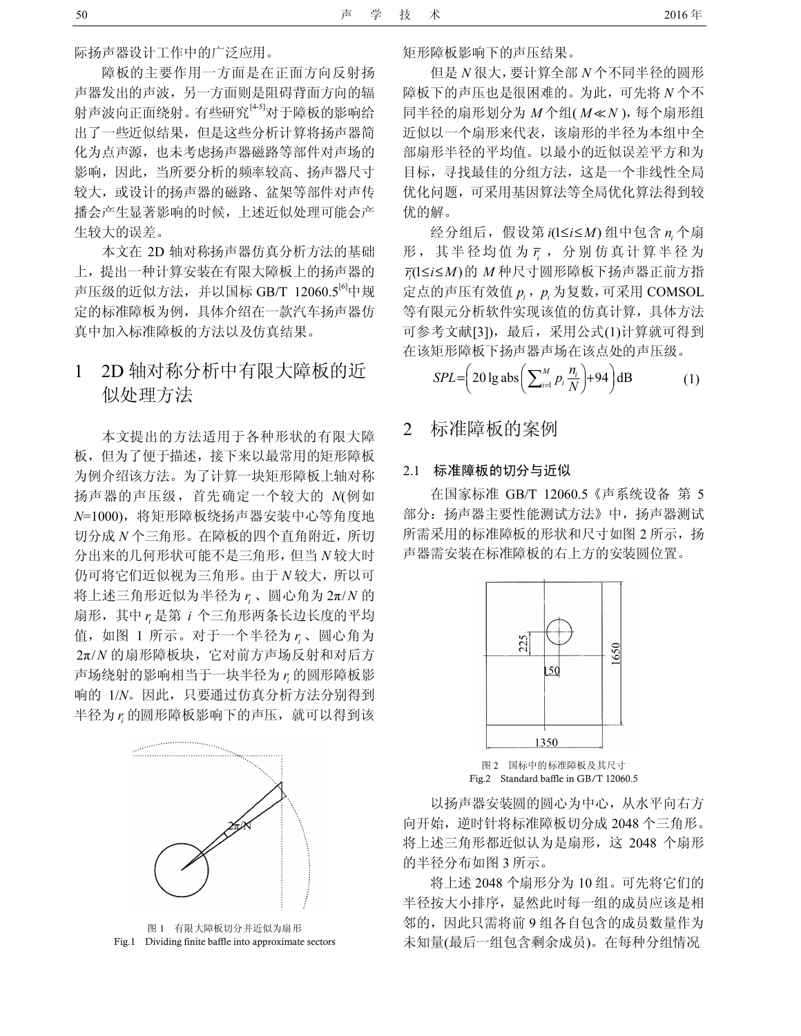际扬声器设计工作中的广泛应用。

障板的主要作用一方面是在正面方向反射扬 声器发出的声波,另一方面则是阻碍背面方向的辐 射声波向正面绕射。有些研究[4-5]对于障板的影响给 出了一些近似结果,但是这些分析计算将扬声器简 化为点声源,也未考虑扬声器磁路等部件对声场的 影响,因此,当所要分析的频率较高、扬声器尺寸 较大,或设计的扬声器的磁路、盆架等部件对声传 播会产生显著影响的时候,上述近似处理可能会产 生较大的误差。

本文在 2D 轴对称扬声器仿真分析方法的基础 上,提出一种计算安装在有限大障板上的扬声器的 声压级的近似方法,并以国标 GB/T  $12060.5^{[6]}$ 中规 定的标准障板为例,具体介绍在一款汽车扬声器仿 真中加入标准障板的方法以及仿真结果。

# 1 2D 轴对称分析中有限大障板的近 似处理方法

本文提出的方法适用于各种形状的有限大障 板,但为了便于描述,接下来以最常用的矩形障板 为例介绍该方法。为了计算一块矩形障板上轴对称 扬声器的声压级,首先确定一个较大的 N(例如 N=1000),将矩形障板绕扬声器安装中心等角度地 切分成 N 个三角形。在障板的四个直角附近,所切 分出来的几何形状可能不是三角形,但当 N 较大时 仍可将它们近似视为三角形。由于 N 较大, 所以可 将上述三角形近似为半径为  $r_i$ 、圆心角为  $2\pi/N$  的 扇形, 其中 r<sub>i</sub> 是第 i 个三角形两条长边长度的平均 值, 如图 1 所示。对于一个半径为 r 。 圆心角为 2π/N 的扇形障板块,它对前方声场反射和对后方 声场绕射的影响相当于一块半径为  $r_i$ 的圆形障板影 响的 1/N。因此,只要通过仿真分析方法分别得到 半径为  $r_i$  的圆形障板影响下的声压, 就可以得到该



图 1 有限大障板切分并近似为扇形 Fig.1 Dividing finite baffle into approximate sectors

矩形障板影响下的声压结果。

但是 N 很大,要计算全部 N 个不同半径的圆形 障板下的声压也是很困难的。为此,可先将 N 个不 同半径的扇形划分为 $M \wedge \mathfrak{U}(M \ll N)$ ,每个扇形组 近似以一个扇形来代表,该扇形的半径为本组中全 部扇形半径的平均值。以最小的近似误差平方和为 目标,寻找最佳的分组方法,这是一个非线性全局 优化问题,可采用基因算法等全局优化算法得到较 优的解。

经分组后, 假设第  $i(1 \le i \le M)$ 组中包含  $n_i$  个扇 形,其半径均值为  $\bar{r}$ , 分别仿真计算半径为  $\overline{r_i}$ (1≤i≤M)的 M种尺寸圆形障板下扬声器正前方指 定点的声压有效值  $p_i$ ,  $p_i$  为复数, 可采用 COMSOL 等有限元分析软件实现该值的仿真计算,具体方法 可参考文献[3]),最后,采用公式(1)计算就可得到 在该矩形障板下扬声器声场在该点处的声压级。

$$
SPL = \left(20 \lg \text{abs}\left(\sum_{i=1}^{M} p_i \frac{n_i}{N}\right) + 94\right) \text{dB} \tag{1}
$$

## 2 标准障板的案例

#### 2.1 标准障板的切分与近似

在国家标准 GB/T 12060.5《声系统设备 第 5 部分: 扬声器主要性能测试方法》中, 扬声器测试 所需采用的标准障板的形状和尺寸如图 2 所示, 扬 声器需安装在标准障板的右上方的安装圆位置。



图 2 国标中的标准障板及其尺寸 Fig.2 Standard baffle in GB/T 12060.5

以扬声器安装圆的圆心为中心,从水平向右方 向开始,逆时针将标准障板切分成 2048 个三角形。 将上述三角形都近似认为是扇形,这 2048 个扇形 的半径分布如图 3 所示。

将上述 2048 个扇形分为 10 组。可先将它们的 半径按大小排序,显然此时每一组的成员应该是相 邻的,因此只需将前 9 组各自包含的成员数量作为 未知量(最后一组包含剩余成员)。在每种分组情况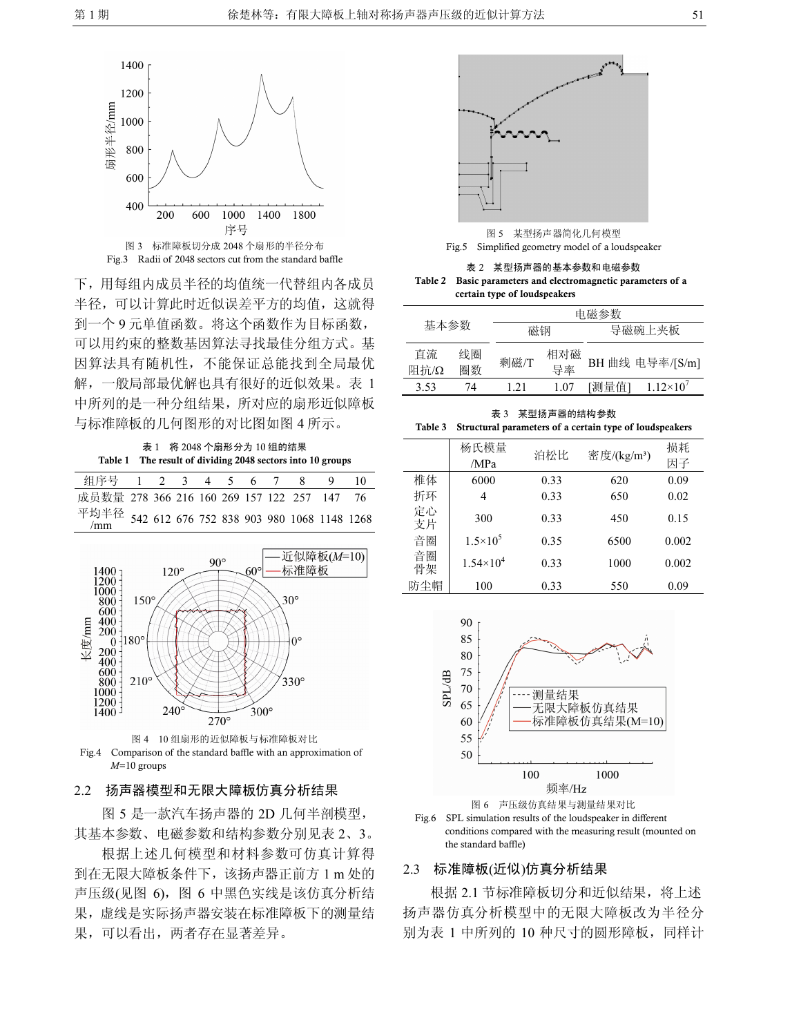

下,用每组内成员半径的均值统一代替组内各成员

半径,可以计算此时近似误差平方的均值,这就得 到一个 9 元单值函数。将这个函数作为目标函数, 可以用约束的整数基因算法寻找最佳分组方式。基 因算法具有随机性,不能保证总能找到全局最优 解,一般局部最优解也具有很好的近似效果。表 1 中所列的是一种分组结果,所对应的扇形近似障板 与标准障板的几何图形的对比图如图 4 所示。

表 1 将 2048 个扇形分为 10 组的结果 Table 1 The result of dividing 2048 sectors into 10 groups

| 组序号 1 2 3 4 5 6 7 8 9                           |  |  |  |  | $\overline{10}$ |
|-------------------------------------------------|--|--|--|--|-----------------|
| 成员数量 278 366 216 160 269 157 122 257 147 76     |  |  |  |  |                 |
| 平均半径 542 612 676 752 838 903 980 1068 1148 1268 |  |  |  |  |                 |





#### 2.2 扬声器模型和无限大障板仿真分析结果

图 5 是一款汽车扬声器的 2D 几何半剖模型, 其基本参数、电磁参数和结构参数分别见表 2、3。

根据上述几何模型和材料参数可仿真计算得 到在无限大障板条件下,该扬声器正前方 1 m 处的 声压级(见图 6),图 6 中黑色实线是该仿真分析结 果,虚线是实际扬声器安装在标准障板下的测量结 果,可以看出,两者存在显著差异。



图 5 某型扬声器简化几何模型 Fig.5 Simplified geometry model of a loudspeaker

表 2 某型扬声器的基本参数和电磁参数 Table 2 Basic parameters and electromagnetic parameters of a certain type of loudspeakers

|            |          | 电磁参数 |           |        |                 |  |  |
|------------|----------|------|-----------|--------|-----------------|--|--|
| 基本参数       |          | 磁钢   |           | 导磁碗上夹板 |                 |  |  |
| 百流<br>阻抗/Ω | 线圈<br>圈数 | 剩磁/T | 相对磁<br>导率 |        | BH 曲线 电导率/[S/m] |  |  |
| 3.53       | 74       | 121  | 1.07      | [测量值]  | $1.12\times10'$ |  |  |
|            |          |      |           |        |                 |  |  |

表 3 某型扬声器的结构参数 Table 3 Structural parameters of a certain type of loudspeakers

|          | 杨氏模量<br>/MPa       | 泊松比  | 密度/(kg/m <sup>3</sup> ) | 损耗<br>因子 |
|----------|--------------------|------|-------------------------|----------|
| 椎体       | 6000               | 0.33 | 620                     | 0.09     |
| 折环       | 4                  | 0.33 | 650                     | 0.02     |
| 定心<br>支片 | 300                | 0.33 | 450                     | 0.15     |
| 音圈       | $1.5 \times 10^5$  | 0.35 | 6500                    | 0.002    |
| 音圈<br>骨架 | $1.54\times10^{4}$ | 0.33 | 1000                    | 0.002    |
| 防尘帽      | 100                | 0.33 | 550                     | 0.09     |
|          |                    |      |                         |          |



图 6 声压级仿真结果与测量结果对比

Fig.6 SPL simulation results of the loudspeaker in different conditions compared with the measuring result (mounted on the standard baffle)

#### 2.3 标准障板(近似)仿真分析结果

根据 2.1 节标准障板切分和近似结果, 将上述 扬声器仿真分析模型中的无限大障板改为半径分 别为表 1 中所列的 10 种尺寸的圆形障板,同样计